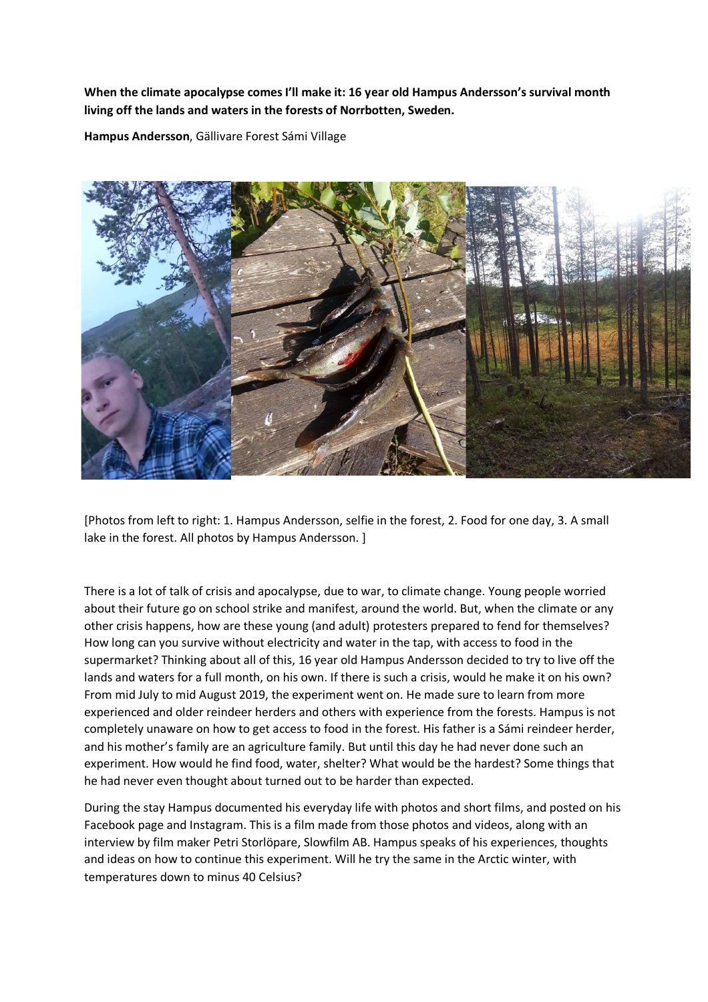## **When the climate apocalypse comes I'll make it: 16 year old Hampus Andersson's survival month living off the lands and waters in the forests of Norrbotten, Sweden.**

**Hampus Andersson**, Gällivare Forest Sámi Village



[Photos from left to right: 1. Hampus Andersson, selfie in the forest, 2. Food for one day, 3. A small lake in the forest. All photos by Hampus Andersson. ]

There is a lot of talk of crisis and apocalypse, due to war, to climate change. Young people worried about their future go on school strike and manifest, around the world. But, when the climate or any other crisis happens, how are these young (and adult) protesters prepared to fend for themselves? How long can you survive without electricity and water in the tap, with access to food in the supermarket? Thinking about all of this, 16 year old Hampus Andersson decided to try to live off the lands and waters for a full month, on his own. If there is such a crisis, would he make it on his own? From mid July to mid August 2019, the experiment went on. He made sure to learn from more experienced and older reindeer herders and others with experience from the forests. Hampus is not completely unaware on how to get access to food in the forest. His father is a Sámi reindeer herder, and his mother's family are an agriculture family. But until this day he had never done such an experiment. How would he find food, water, shelter? What would be the hardest? Some things that he had never even thought about turned out to be harder than expected.

During the stay Hampus documented his everyday life with photos and short films, and posted on his Facebook page and Instagram. This is a film made from those photos and videos, along with an interview by film maker Petri Storlöpare, Slowfilm AB. Hampus speaks of his experiences, thoughts and ideas on how to continue this experiment. Will he try the same in the Arctic winter, with temperatures down to minus 40 Celsius?